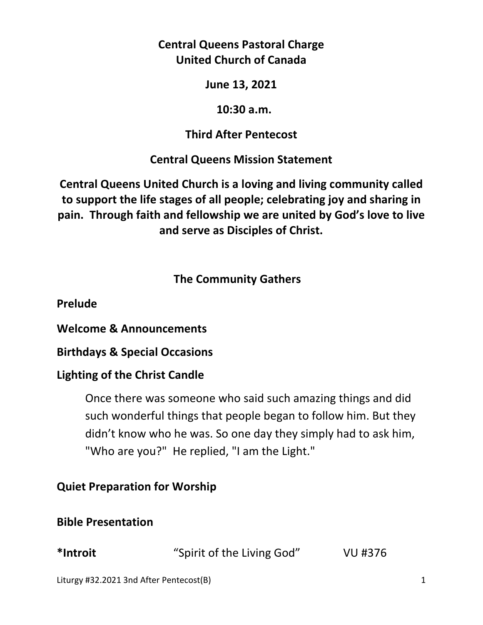# **Central Queens Pastoral Charge United Church of Canada**

### **June 13, 2021**

#### **10:30 a.m.**

## **Third After Pentecost**

## **Central Queens Mission Statement**

**Central Queens United Church is a loving and living community called to support the life stages of all people; celebrating joy and sharing in pain. Through faith and fellowship we are united by God's love to live and serve as Disciples of Christ.**

## **The Community Gathers**

**Prelude** 

**Welcome & Announcements** 

**Birthdays & Special Occasions** 

### **Lighting of the Christ Candle**

Once there was someone who said such amazing things and did such wonderful things that people began to follow him. But they didn't know who he was. So one day they simply had to ask him, "Who are you?" He replied, "I am the Light."

## **Quiet Preparation for Worship**

### **Bible Presentation**

**\*Introit** "Spirit of the Living God" VU #376

Liturgy #32.2021 3nd After Pentecost(B) 1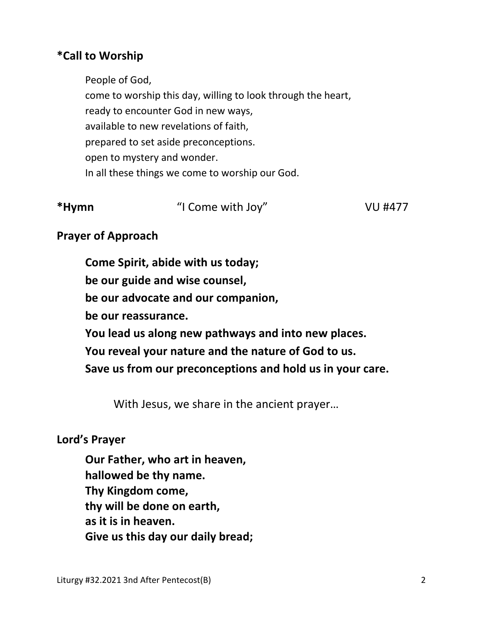## **\*Call to Worship**

 People of God, come to worship this day, willing to look through the heart, ready to encounter God in new ways, available to new revelations of faith, prepared to set aside preconceptions. open to mystery and wonder. In all these things we come to worship our God.

| *Hymn | "I Come with Joy" | <b>VU #477</b> |
|-------|-------------------|----------------|
|       |                   |                |

#### **Prayer of Approach**

 **Come Spirit, abide with us today; be our guide and wise counsel, be our advocate and our companion, be our reassurance. You lead us along new pathways and into new places. You reveal your nature and the nature of God to us. Save us from our preconceptions and hold us in your care.** 

With Jesus, we share in the ancient prayer…

#### **Lord's Prayer**

**Our Father, who art in heaven, hallowed be thy name. Thy Kingdom come, thy will be done on earth, as it is in heaven. Give us this day our daily bread;**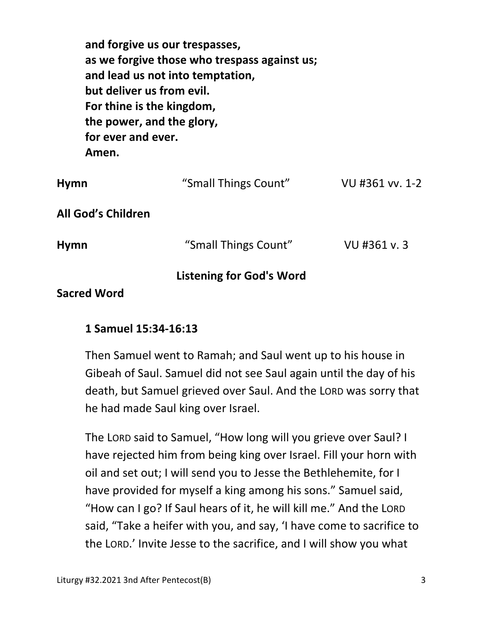| and forgive us our trespasses,<br>but deliver us from evil.<br>For thine is the kingdom,<br>the power, and the glory,<br>for ever and ever.<br>Amen. | as we forgive those who trespass against us;<br>and lead us not into temptation, |                 |
|------------------------------------------------------------------------------------------------------------------------------------------------------|----------------------------------------------------------------------------------|-----------------|
| <b>Hymn</b>                                                                                                                                          | "Small Things Count"                                                             | VU #361 vv. 1-2 |
| All God's Children                                                                                                                                   |                                                                                  |                 |
| <b>Hymn</b>                                                                                                                                          | "Small Things Count"                                                             | VU #361 v.3     |
|                                                                                                                                                      | <b>Listening for God's Word</b>                                                  |                 |

#### **Sacred Word**

### **1 Samuel 15:34-16:13**

Then Samuel went to Ramah; and Saul went up to his house in Gibeah of Saul. Samuel did not see Saul again until the day of his death, but Samuel grieved over Saul. And the LORD was sorry that he had made Saul king over Israel.

 The LORD said to Samuel, "How long will you grieve over Saul? I have rejected him from being king over Israel. Fill your horn with oil and set out; I will send you to Jesse the Bethlehemite, for I have provided for myself a king among his sons." Samuel said, "How can I go? If Saul hears of it, he will kill me." And the LORD said, "Take a heifer with you, and say, 'I have come to sacrifice to the LORD.' Invite Jesse to the sacrifice, and I will show you what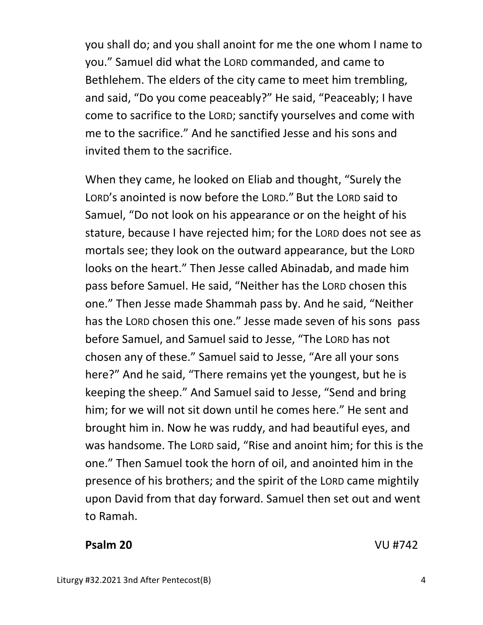you shall do; and you shall anoint for me the one whom I name to you." Samuel did what the LORD commanded, and came to Bethlehem. The elders of the city came to meet him trembling, and said, "Do you come peaceably?" He said, "Peaceably; I have come to sacrifice to the LORD; sanctify yourselves and come with me to the sacrifice." And he sanctified Jesse and his sons and invited them to the sacrifice.

When they came, he looked on Eliab and thought, "Surely the LORD's anointed is now before the LORD." But the LORD said to Samuel, "Do not look on his appearance or on the height of his stature, because I have rejected him; for the LORD does not see as mortals see; they look on the outward appearance, but the LORD looks on the heart." Then Jesse called Abinadab, and made him pass before Samuel. He said, "Neither has the LORD chosen this one." Then Jesse made Shammah pass by. And he said, "Neither has the LORD chosen this one." Jesse made seven of his sons pass before Samuel, and Samuel said to Jesse, "The LORD has not chosen any of these." Samuel said to Jesse, "Are all your sons here?" And he said, "There remains yet the youngest, but he is keeping the sheep." And Samuel said to Jesse, "Send and bring him; for we will not sit down until he comes here." He sent and brought him in. Now he was ruddy, and had beautiful eyes, and was handsome. The LORD said, "Rise and anoint him; for this is the one." Then Samuel took the horn of oil, and anointed him in the presence of his brothers; and the spirit of the LORD came mightily upon David from that day forward. Samuel then set out and went to Ramah.

### **Psalm 20** VU #742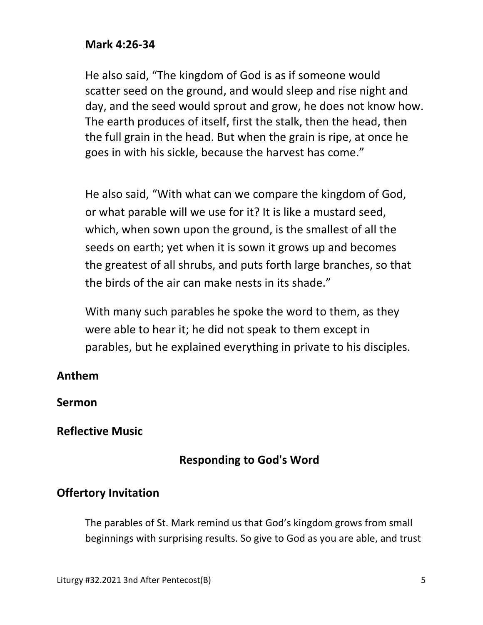### **Mark 4:26-34**

 He also said, "The kingdom of God is as if someone would scatter seed on the ground, and would sleep and rise night and day, and the seed would sprout and grow, he does not know how. The earth produces of itself, first the stalk, then the head, then the full grain in the head. But when the grain is ripe, at once he goes in with his sickle, because the harvest has come."

He also said, "With what can we compare the kingdom of God, or what parable will we use for it? It is like a mustard seed, which, when sown upon the ground, is the smallest of all the seeds on earth; yet when it is sown it grows up and becomes the greatest of all shrubs, and puts forth large branches, so that the birds of the air can make nests in its shade."

With many such parables he spoke the word to them, as they were able to hear it; he did not speak to them except in parables, but he explained everything in private to his disciples.

#### **Anthem**

#### **Sermon**

#### **Reflective Music**

#### **Responding to God's Word**

#### **Offertory Invitation**

The parables of St. Mark remind us that God's kingdom grows from small beginnings with surprising results. So give to God as you are able, and trust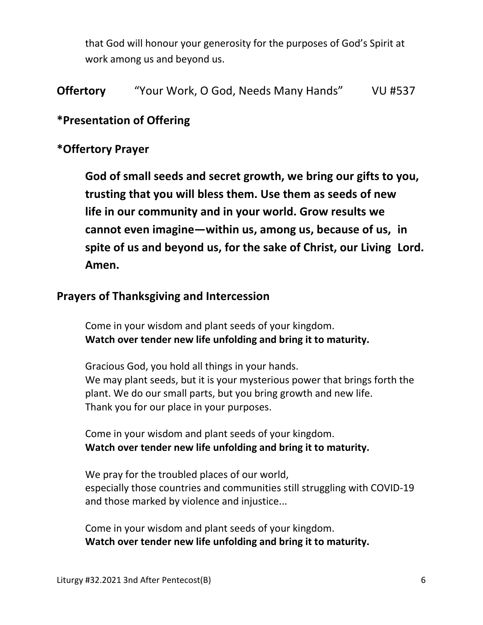that God will honour your generosity for the purposes of God's Spirit at work among us and beyond us.

## **Offertory** "Your Work, O God, Needs Many Hands" VU #537

#### **\*Presentation of Offering**

#### **\*Offertory Prayer**

**God of small seeds and secret growth, we bring our gifts to you, trusting that you will bless them. Use them as seeds of new life in our community and in your world. Grow results we cannot even imagine—within us, among us, because of us, in spite of us and beyond us, for the sake of Christ, our Living Lord. Amen.** 

#### **Prayers of Thanksgiving and Intercession**

Come in your wisdom and plant seeds of your kingdom.  **Watch over tender new life unfolding and bring it to maturity.** 

 Gracious God, you hold all things in your hands. We may plant seeds, but it is your mysterious power that brings forth the plant. We do our small parts, but you bring growth and new life. Thank you for our place in your purposes.

 Come in your wisdom and plant seeds of your kingdom. **Watch over tender new life unfolding and bring it to maturity.** 

 We pray for the troubled places of our world, especially those countries and communities still struggling with COVID-19 and those marked by violence and injustice...

 Come in your wisdom and plant seeds of your kingdom. **Watch over tender new life unfolding and bring it to maturity.**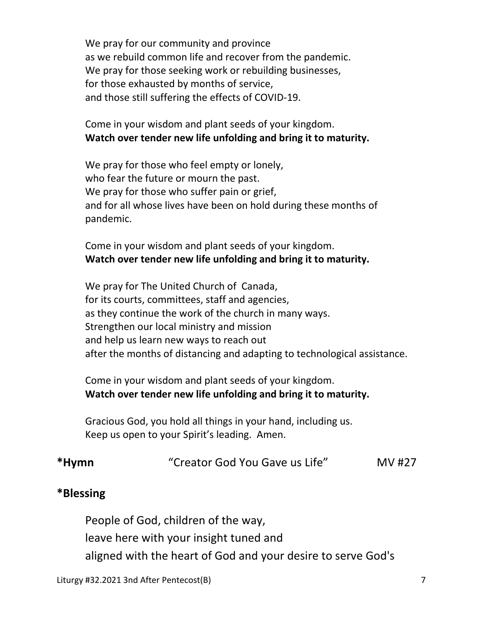We pray for our community and province as we rebuild common life and recover from the pandemic. We pray for those seeking work or rebuilding businesses, for those exhausted by months of service, and those still suffering the effects of COVID-19.

#### Come in your wisdom and plant seeds of your kingdom. **Watch over tender new life unfolding and bring it to maturity.**

We pray for those who feel empty or lonely, who fear the future or mourn the past. We pray for those who suffer pain or grief, and for all whose lives have been on hold during these months of pandemic.

 Come in your wisdom and plant seeds of your kingdom. **Watch over tender new life unfolding and bring it to maturity.** 

 We pray for The United Church of Canada, for its courts, committees, staff and agencies, as they continue the work of the church in many ways. Strengthen our local ministry and mission and help us learn new ways to reach out after the months of distancing and adapting to technological assistance.

 Come in your wisdom and plant seeds of your kingdom. **Watch over tender new life unfolding and bring it to maturity.** 

 Gracious God, you hold all things in your hand, including us. Keep us open to your Spirit's leading. Amen.

| *Hymn<br>"Creator God You Gave us Life" | MV #27 |
|-----------------------------------------|--------|
|-----------------------------------------|--------|

#### **\*Blessing**

 People of God, children of the way, leave here with your insight tuned and aligned with the heart of God and your desire to serve God's